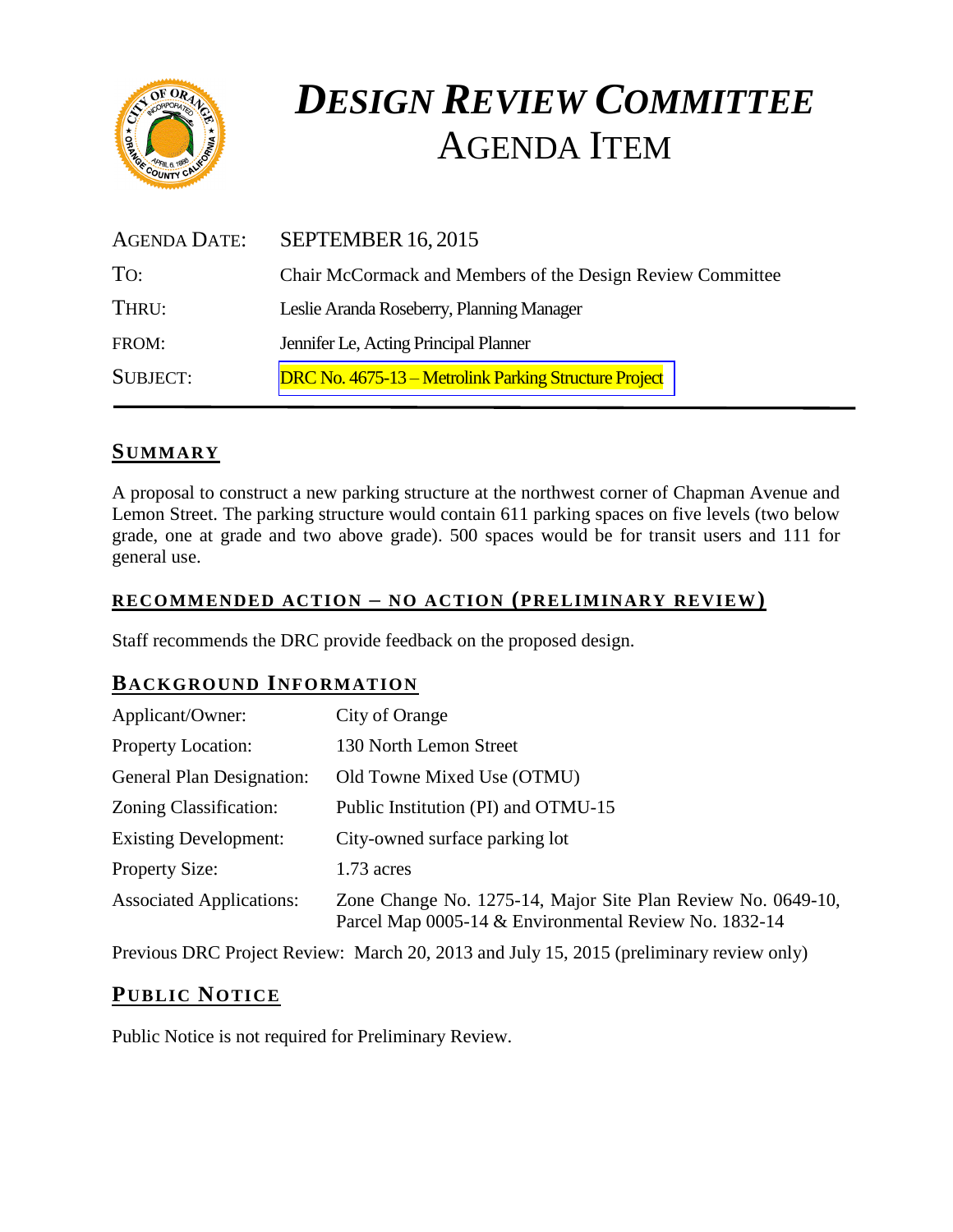

# *DESIGN REVIEW COMMITTEE*  AGENDA ITEM

| <b>AGENDA DATE:</b> | <b>SEPTEMBER 16, 2015</b>                                    |
|---------------------|--------------------------------------------------------------|
| TO:                 | Chair McCormack and Members of the Design Review Committee   |
| THRU:               | Leslie Aranda Roseberry, Planning Manager                    |
| FROM:               | Jennifer Le, Acting Principal Planner                        |
| <b>SUBJECT:</b>     | <b>DRC No. 4675-13 – Metrolink Parking Structure Project</b> |

## **SUMMARY**

A proposal to construct a new parking structure at the northwest corner of Chapman Avenue and Lemon Street. The parking structure would contain 611 parking spaces on five levels (two below grade, one at grade and two above grade). 500 spaces would be for transit users and 111 for general use.

## **RECOMMENDED ACTION – NO ACTION (PRELIMINARY REVIEW)**

Staff recommends the DRC provide feedback on the proposed design.

# **BACKGROUND INFORMATION**

| Applicant/Owner:                 | City of Orange                                                                                                        |
|----------------------------------|-----------------------------------------------------------------------------------------------------------------------|
| <b>Property Location:</b>        | 130 North Lemon Street                                                                                                |
| <b>General Plan Designation:</b> | Old Towne Mixed Use (OTMU)                                                                                            |
| Zoning Classification:           | Public Institution (PI) and OTMU-15                                                                                   |
| <b>Existing Development:</b>     | City-owned surface parking lot                                                                                        |
| <b>Property Size:</b>            | $1.73$ acres                                                                                                          |
| <b>Associated Applications:</b>  | Zone Change No. 1275-14, Major Site Plan Review No. 0649-10,<br>Parcel Map 0005-14 & Environmental Review No. 1832-14 |

Previous DRC Project Review: March 20, 2013 and July 15, 2015 (preliminary review only)

# **PUB LIC NOTICE**

Public Notice is not required for Preliminary Review.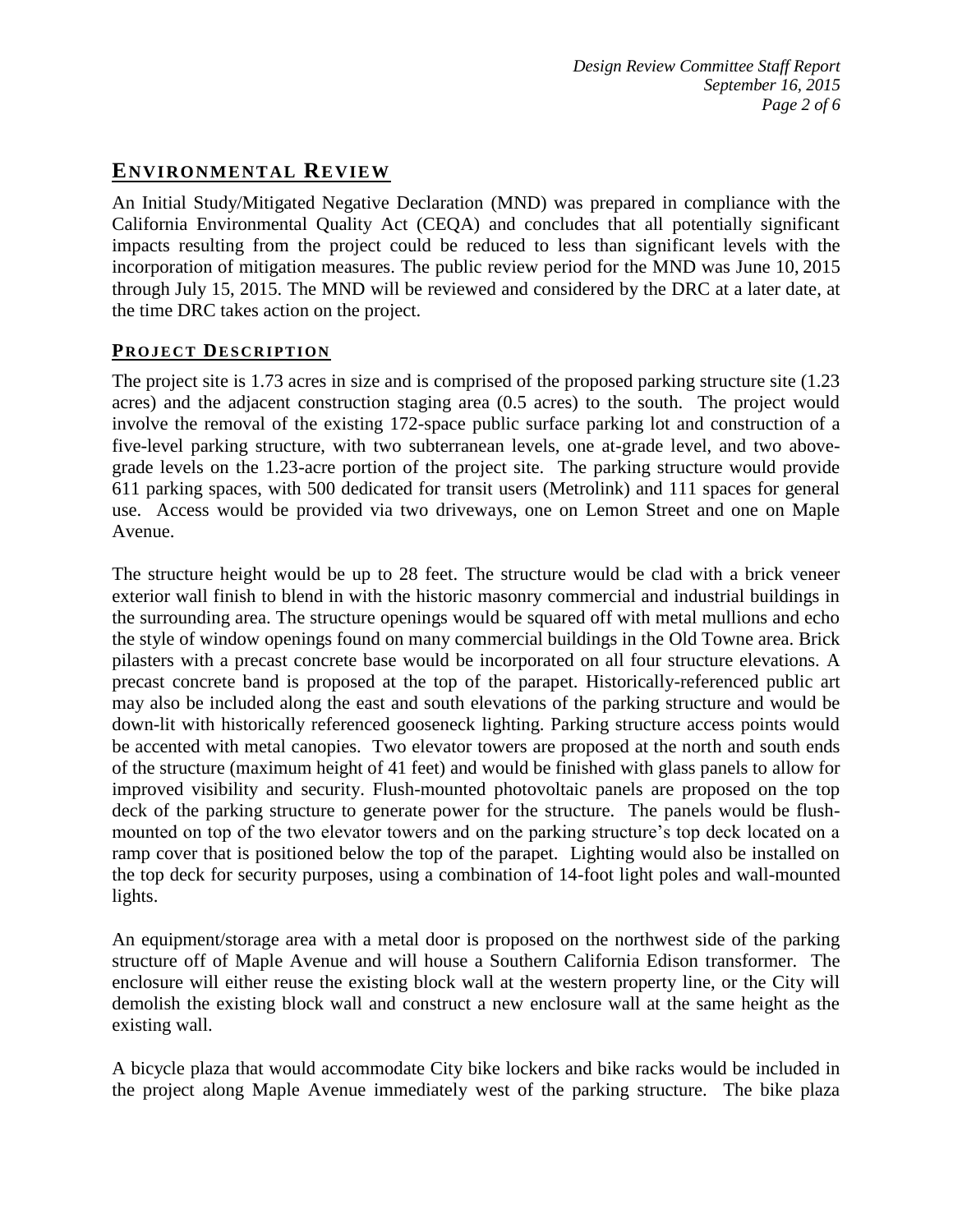# **ENVIRONMENTAL REVIEW**

An Initial Study/Mitigated Negative Declaration (MND) was prepared in compliance with the California Environmental Quality Act (CEQA) and concludes that all potentially significant impacts resulting from the project could be reduced to less than significant levels with the incorporation of mitigation measures. The public review period for the MND was June 10, 2015 through July 15, 2015. The MND will be reviewed and considered by the DRC at a later date, at the time DRC takes action on the project.

## **PROJECT DESCRIPTION**

The project site is 1.73 acres in size and is comprised of the proposed parking structure site (1.23 acres) and the adjacent construction staging area (0.5 acres) to the south. The project would involve the removal of the existing 172-space public surface parking lot and construction of a five-level parking structure, with two subterranean levels, one at-grade level, and two abovegrade levels on the 1.23-acre portion of the project site. The parking structure would provide 611 parking spaces, with 500 dedicated for transit users (Metrolink) and 111 spaces for general use. Access would be provided via two driveways, one on Lemon Street and one on Maple Avenue.

The structure height would be up to 28 feet. The structure would be clad with a brick veneer exterior wall finish to blend in with the historic masonry commercial and industrial buildings in the surrounding area. The structure openings would be squared off with metal mullions and echo the style of window openings found on many commercial buildings in the Old Towne area. Brick pilasters with a precast concrete base would be incorporated on all four structure elevations. A precast concrete band is proposed at the top of the parapet. Historically-referenced public art may also be included along the east and south elevations of the parking structure and would be down-lit with historically referenced gooseneck lighting. Parking structure access points would be accented with metal canopies. Two elevator towers are proposed at the north and south ends of the structure (maximum height of 41 feet) and would be finished with glass panels to allow for improved visibility and security. Flush-mounted photovoltaic panels are proposed on the top deck of the parking structure to generate power for the structure. The panels would be flushmounted on top of the two elevator towers and on the parking structure's top deck located on a ramp cover that is positioned below the top of the parapet. Lighting would also be installed on the top deck for security purposes, using a combination of 14-foot light poles and wall-mounted lights.

An equipment/storage area with a metal door is proposed on the northwest side of the parking structure off of Maple Avenue and will house a Southern California Edison transformer. The enclosure will either reuse the existing block wall at the western property line, or the City will demolish the existing block wall and construct a new enclosure wall at the same height as the existing wall.

A bicycle plaza that would accommodate City bike lockers and bike racks would be included in the project along Maple Avenue immediately west of the parking structure. The bike plaza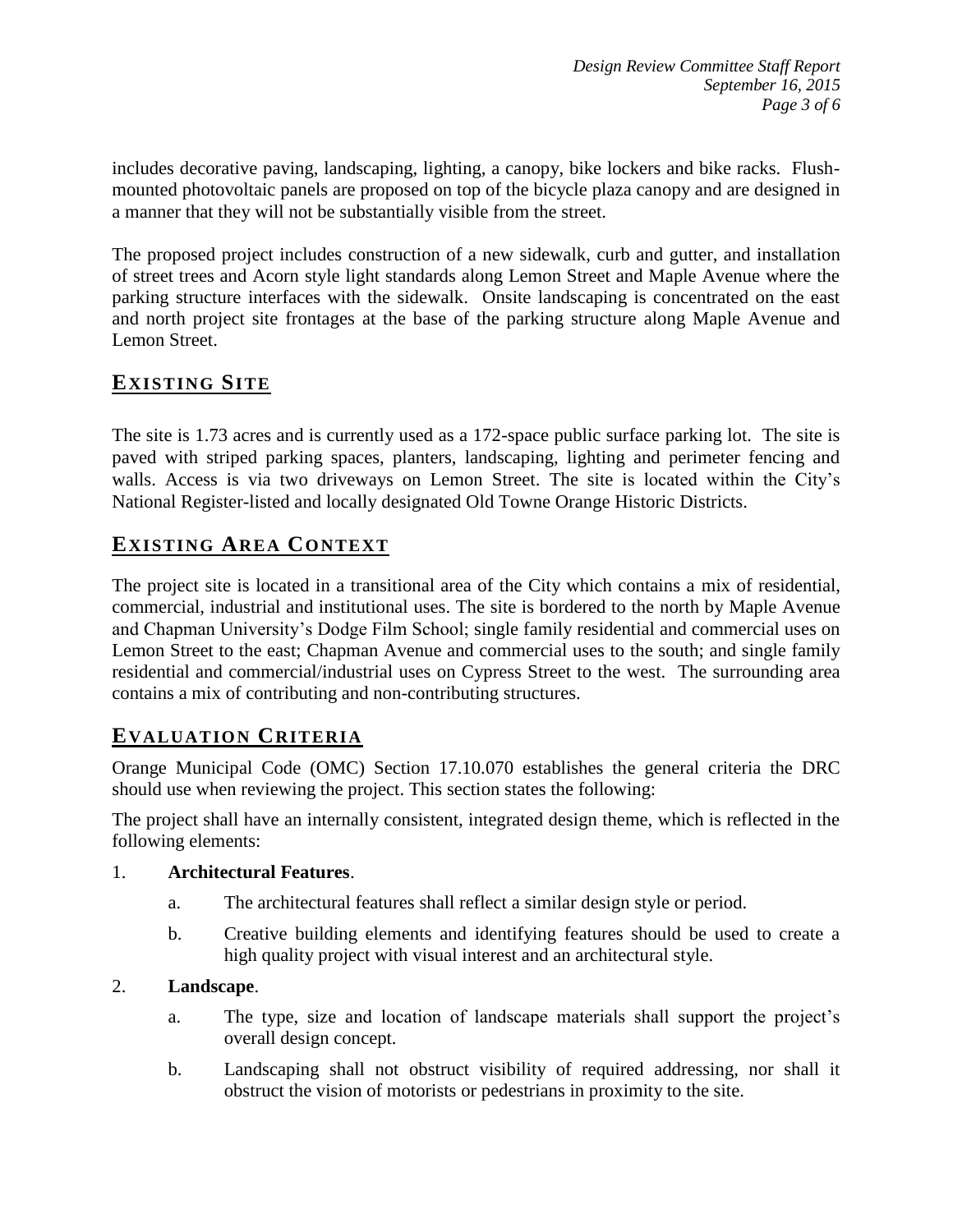includes decorative paving, landscaping, lighting, a canopy, bike lockers and bike racks. Flushmounted photovoltaic panels are proposed on top of the bicycle plaza canopy and are designed in a manner that they will not be substantially visible from the street.

The proposed project includes construction of a new sidewalk, curb and gutter, and installation of street trees and Acorn style light standards along Lemon Street and Maple Avenue where the parking structure interfaces with the sidewalk. Onsite landscaping is concentrated on the east and north project site frontages at the base of the parking structure along Maple Avenue and Lemon Street.

# **EXISTING SITE**

The site is 1.73 acres and is currently used as a 172-space public surface parking lot. The site is paved with striped parking spaces, planters, landscaping, lighting and perimeter fencing and walls. Access is via two driveways on Lemon Street. The site is located within the City's National Register-listed and locally designated Old Towne Orange Historic Districts.

# **EXISTING AREA CONTEXT**

The project site is located in a transitional area of the City which contains a mix of residential, commercial, industrial and institutional uses. The site is bordered to the north by Maple Avenue and Chapman University's Dodge Film School; single family residential and commercial uses on Lemon Street to the east; Chapman Avenue and commercial uses to the south; and single family residential and commercial/industrial uses on Cypress Street to the west. The surrounding area contains a mix of contributing and non-contributing structures.

# **EVALUATION CRITERIA**

Orange Municipal Code (OMC) Section 17.10.070 establishes the general criteria the DRC should use when reviewing the project. This section states the following:

The project shall have an internally consistent, integrated design theme, which is reflected in the following elements:

#### 1. **Architectural Features**.

- a. The architectural features shall reflect a similar design style or period.
- b. Creative building elements and identifying features should be used to create a high quality project with visual interest and an architectural style.

## 2. **Landscape**.

- a. The type, size and location of landscape materials shall support the project's overall design concept.
- b. Landscaping shall not obstruct visibility of required addressing, nor shall it obstruct the vision of motorists or pedestrians in proximity to the site.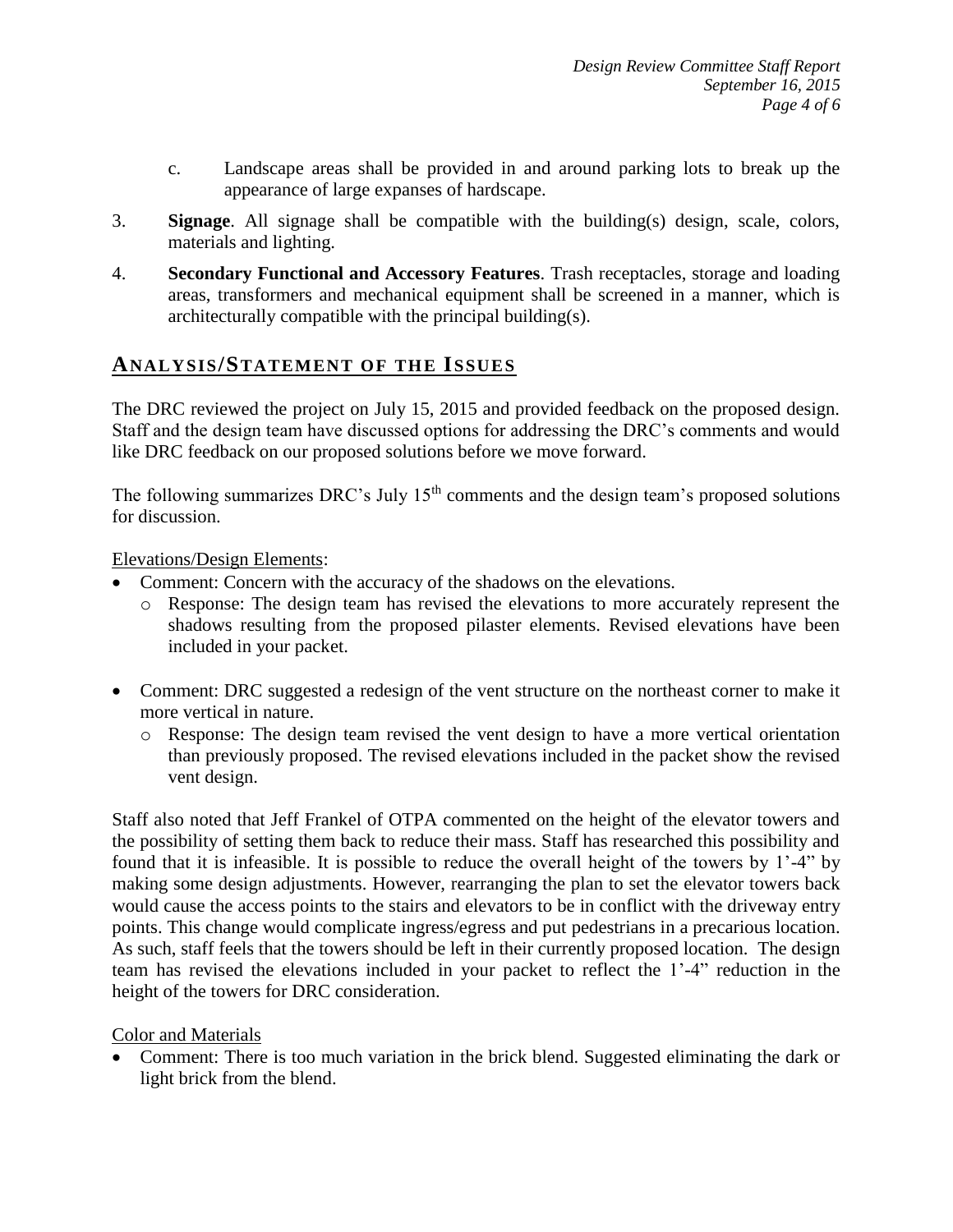- c. Landscape areas shall be provided in and around parking lots to break up the appearance of large expanses of hardscape.
- 3. **Signage**. All signage shall be compatible with the building(s) design, scale, colors, materials and lighting.
- 4. **Secondary Functional and Accessory Features**. Trash receptacles, storage and loading areas, transformers and mechanical equipment shall be screened in a manner, which is architecturally compatible with the principal building(s).

## **ANALY SIS/STATEMENT OF THE ISSUES**

The DRC reviewed the project on July 15, 2015 and provided feedback on the proposed design. Staff and the design team have discussed options for addressing the DRC's comments and would like DRC feedback on our proposed solutions before we move forward.

The following summarizes DRC's July  $15<sup>th</sup>$  comments and the design team's proposed solutions for discussion.

Elevations/Design Elements:

- Comment: Concern with the accuracy of the shadows on the elevations.
	- o Response: The design team has revised the elevations to more accurately represent the shadows resulting from the proposed pilaster elements. Revised elevations have been included in your packet.
- Comment: DRC suggested a redesign of the vent structure on the northeast corner to make it more vertical in nature.
	- o Response: The design team revised the vent design to have a more vertical orientation than previously proposed. The revised elevations included in the packet show the revised vent design.

Staff also noted that Jeff Frankel of OTPA commented on the height of the elevator towers and the possibility of setting them back to reduce their mass. Staff has researched this possibility and found that it is infeasible. It is possible to reduce the overall height of the towers by 1'-4" by making some design adjustments. However, rearranging the plan to set the elevator towers back would cause the access points to the stairs and elevators to be in conflict with the driveway entry points. This change would complicate ingress/egress and put pedestrians in a precarious location. As such, staff feels that the towers should be left in their currently proposed location. The design team has revised the elevations included in your packet to reflect the 1'-4" reduction in the height of the towers for DRC consideration.

#### Color and Materials

• Comment: There is too much variation in the brick blend. Suggested eliminating the dark or light brick from the blend.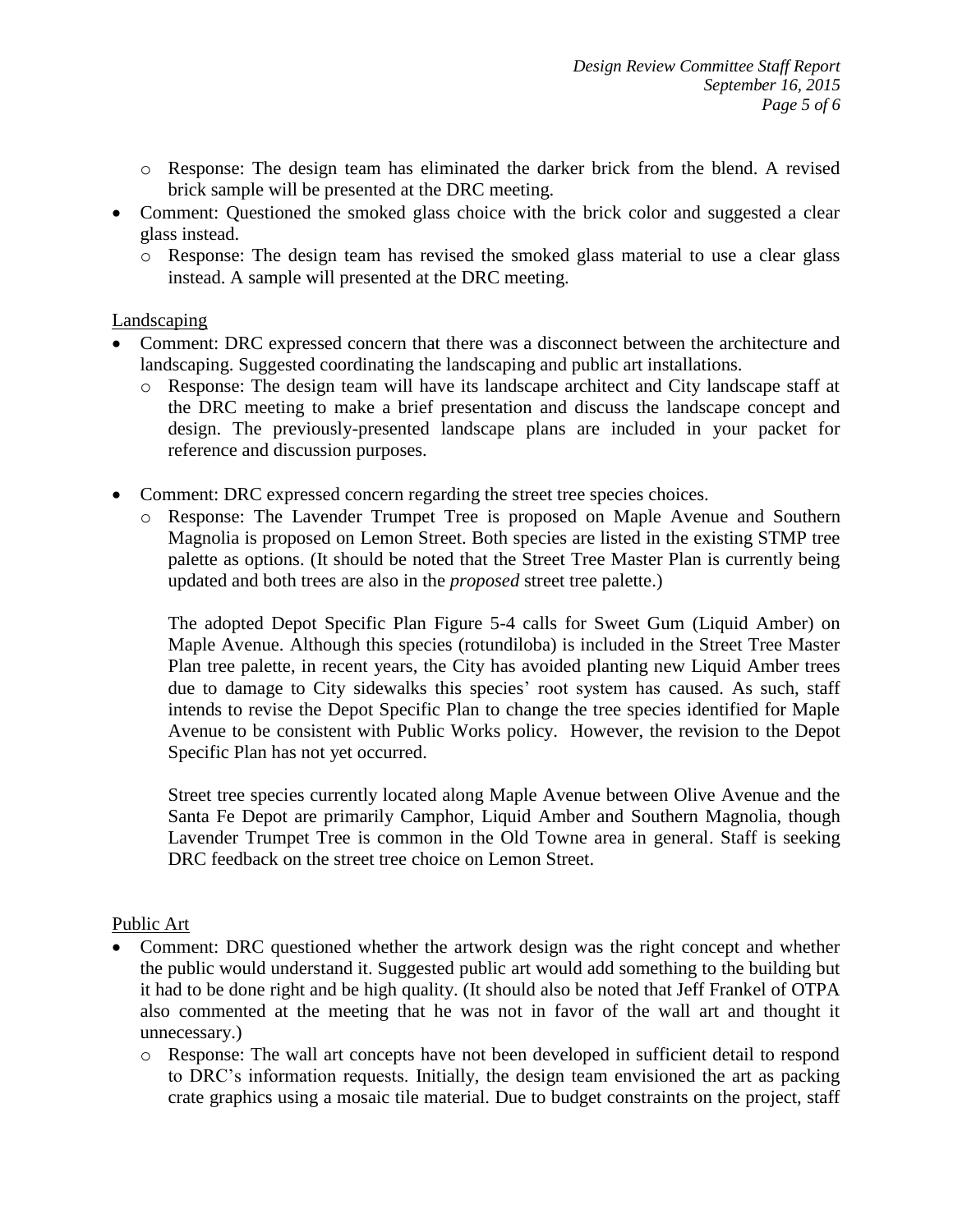- o Response: The design team has eliminated the darker brick from the blend. A revised brick sample will be presented at the DRC meeting.
- Comment: Questioned the smoked glass choice with the brick color and suggested a clear glass instead.
	- o Response: The design team has revised the smoked glass material to use a clear glass instead. A sample will presented at the DRC meeting.

#### **Landscaping**

- Comment: DRC expressed concern that there was a disconnect between the architecture and landscaping. Suggested coordinating the landscaping and public art installations.
	- o Response: The design team will have its landscape architect and City landscape staff at the DRC meeting to make a brief presentation and discuss the landscape concept and design. The previously-presented landscape plans are included in your packet for reference and discussion purposes.
- Comment: DRC expressed concern regarding the street tree species choices.
	- o Response: The Lavender Trumpet Tree is proposed on Maple Avenue and Southern Magnolia is proposed on Lemon Street. Both species are listed in the existing STMP tree palette as options. (It should be noted that the Street Tree Master Plan is currently being updated and both trees are also in the *proposed* street tree palette.)

The adopted Depot Specific Plan Figure 5-4 calls for Sweet Gum (Liquid Amber) on Maple Avenue. Although this species (rotundiloba) is included in the Street Tree Master Plan tree palette, in recent years, the City has avoided planting new Liquid Amber trees due to damage to City sidewalks this species' root system has caused. As such, staff intends to revise the Depot Specific Plan to change the tree species identified for Maple Avenue to be consistent with Public Works policy. However, the revision to the Depot Specific Plan has not yet occurred.

Street tree species currently located along Maple Avenue between Olive Avenue and the Santa Fe Depot are primarily Camphor, Liquid Amber and Southern Magnolia, though Lavender Trumpet Tree is common in the Old Towne area in general. Staff is seeking DRC feedback on the street tree choice on Lemon Street.

#### Public Art

- Comment: DRC questioned whether the artwork design was the right concept and whether the public would understand it. Suggested public art would add something to the building but it had to be done right and be high quality. (It should also be noted that Jeff Frankel of OTPA also commented at the meeting that he was not in favor of the wall art and thought it unnecessary.)
	- o Response: The wall art concepts have not been developed in sufficient detail to respond to DRC's information requests. Initially, the design team envisioned the art as packing crate graphics using a mosaic tile material. Due to budget constraints on the project, staff